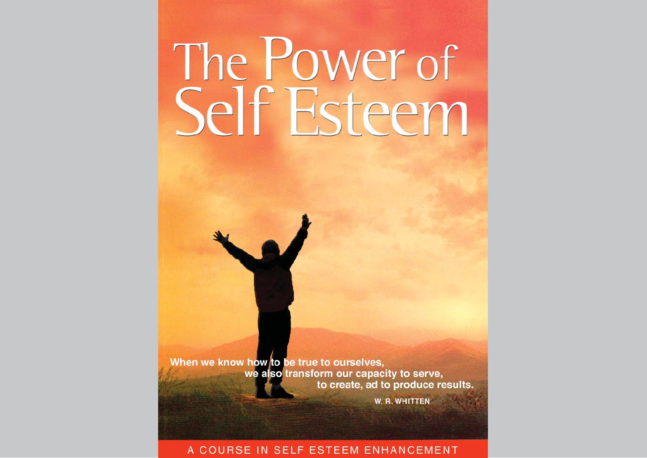# The Power of Self Esteem

When we know how to be true to ourselves, we also transform our capacity to serve, to create, ad to produce results.

W. R. WHITTEN

#### A COURSE IN SELF ESTEEM ENHANCEMENT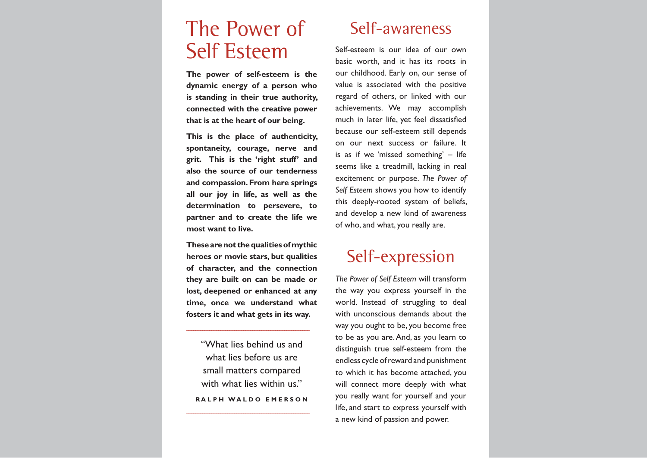## The Power ofSelf Esteem

**The power of self-esteem is the dynamic energy of a person who is standing in their true authority, connected with the creative power that is at the heart of our being.**

**This is the place of authenticity, spontaneity, courage, nerve and grit. This is the 'right stuff' and also the source of our tenderness and compassion. From here springs all our joy in life, as well as the determination to persevere, to partner and to create the life we most want to live.**

**These are not the qualities of mythic heroes or movie stars, but qualities of character, and the connection they are built on can be made or lost, deepened or enhanced at any time, once we understand what fosters it and what gets in its way.**

"What lies behind us andwhat lies before us aresmall matters compared with what lies within us." **R A L P H W A L D O E M E R S O N**

#### Self-awareness

Self-esteem is our idea of our own basic worth, and it has its roots in our childhood. Early on, our sense of value is associated with the positive regard of others, or linked with our achievements. We may accomplish much in later life, yet feel dissatisfied because our self-esteem still depends on our next success or failure. It is as if we 'missed something' – life seems like a treadmill, lacking in real excitement or purpose. *The Power of Self Esteem* shows you how to identify this deeply-rooted system of beliefs, and develop a new kind of awareness of who, and what, you really are.

### Self-expression

*The Power of Self Esteem* will transform the way you express yourself in the world. Instead of struggling to deal with unconscious demands about the way you ought to be, you become free to be as you are. And, as you learn to distinguish true self-esteem from the endless cycle of reward and punishment to which it has become attached, you will connect more deeply with what you really want for yourself and your life, and start to express yourself with a new kind of passion and power.